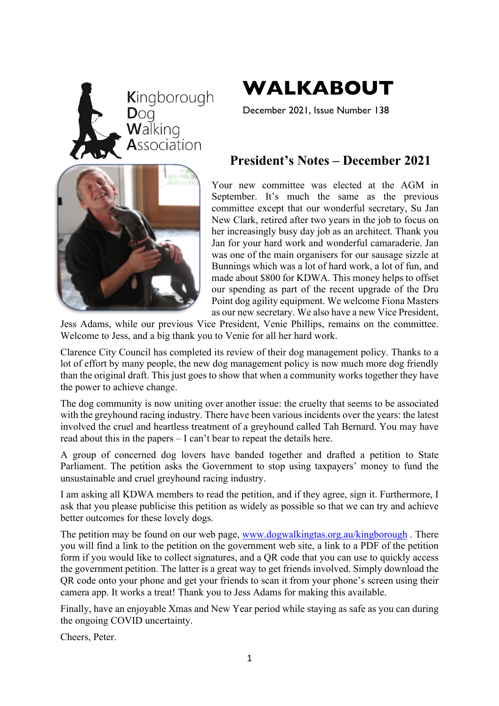



December 2021, Issue Number 138

### **President's Notes – December 2021**

Your new committee was elected at the AGM in September. It's much the same as the previous committee except that our wonderful secretary, Su Jan New Clark, retired after two years in the job to focus on her increasingly busy day job as an architect. Thank you Jan for your hard work and wonderful camaraderie. Jan was one of the main organisers for our sausage sizzle at Bunnings which was a lot of hard work, a lot of fun, and made about \$800 for KDWA. This money helps to offset our spending as part of the recent upgrade of the Dru Point dog agility equipment. We welcome Fiona Masters as our new secretary. We also have a new Vice President,

Jess Adams, while our previous Vice President, Venie Phillips, remains on the committee. Welcome to Jess, and a big thank you to Venie for all her hard work.

Clarence City Council has completed its review of their dog management policy. Thanks to a lot of effort by many people, the new dog management policy is now much more dog friendly than the original draft. This just goes to show that when a community works together they have the power to achieve change.

The dog community is now uniting over another issue: the cruelty that seems to be associated with the greyhound racing industry. There have been various incidents over the years: the latest involved the cruel and heartless treatment of a greyhound called Tah Bernard. You may have read about this in the papers – I can't bear to repeat the details here.

A group of concerned dog lovers have banded together and drafted a petition to State Parliament. The petition asks the Government to stop using taxpayers' money to fund the unsustainable and cruel greyhound racing industry.

I am asking all KDWA members to read the petition, and if they agree, sign it. Furthermore, I ask that you please publicise this petition as widely as possible so that we can try and achieve better outcomes for these lovely dogs.

The petition may be found on our web page, www.dogwalkingtas.org.au/kingborough . There you will find a link to the petition on the government web site, a link to a PDF of the petition form if you would like to collect signatures, and a QR code that you can use to quickly access the government petition. The latter is a great way to get friends involved. Simply download the QR code onto your phone and get your friends to scan it from your phone's screen using their camera app. It works a treat! Thank you to Jess Adams for making this available.

Finally, have an enjoyable Xmas and New Year period while staying as safe as you can during the ongoing COVID uncertainty.

Cheers, Peter.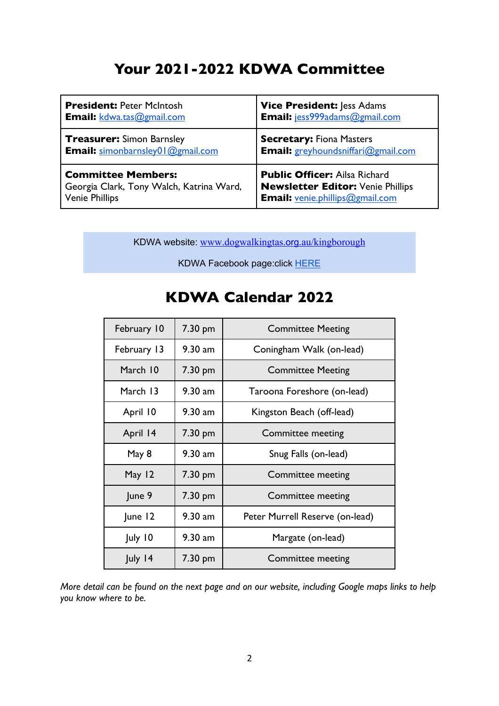## **Your 2021-2022 KDWA Committee**

| <b>President: Peter McIntosh</b>         | <b>Vice President: Jess Adams</b>        |
|------------------------------------------|------------------------------------------|
| <b>Email:</b> kdwa.tas@gmail.com         | Email: jess999adams@gmail.com            |
| <b>Treasurer:</b> Simon Barnsley         | <b>Secretary: Fiona Masters</b>          |
| <b>Email:</b> simonbarnsley01@gmail.com  | Email: greyhoundsniffari@gmail.com       |
| <b>Committee Members:</b>                | <b>Public Officer: Ailsa Richard</b>     |
| Georgia Clark, Tony Walch, Katrina Ward, | <b>Newsletter Editor: Venie Phillips</b> |
| <b>Venie Phillips</b>                    | <b>Email:</b> venie.phillips@gmail.com   |

KDWA website: www.dogwalkingtas.org.au/kingborough

KDWA Facebook page:click HERE

| February 10 | 7.30 pm           | <b>Committee Meeting</b>        |
|-------------|-------------------|---------------------------------|
| February 13 | $9.30$ am         | Coningham Walk (on-lead)        |
| March 10    | 7.30 pm           | <b>Committee Meeting</b>        |
| March 13    | $9.30$ am         | Taroona Foreshore (on-lead)     |
| April 10    | $9.30$ am         | Kingston Beach (off-lead)       |
| April 14    | 7.30 pm           | <b>Committee meeting</b>        |
| May 8       | $9.30$ am         | Snug Falls (on-lead)            |
| May 12      | 7.30 pm           | Committee meeting               |
| June 9      | $7.30 \text{ pm}$ | Committee meeting               |
| June 12     | $9.30$ am         | Peter Murrell Reserve (on-lead) |
| July 10     | $9.30$ am         | Margate (on-lead)               |
| July 14     | $7.30 \text{ pm}$ | <b>Committee meeting</b>        |

### **KDWA Calendar 2022**

*More detail can be found on the next page and on our website, including Google maps links to help you know where to be.*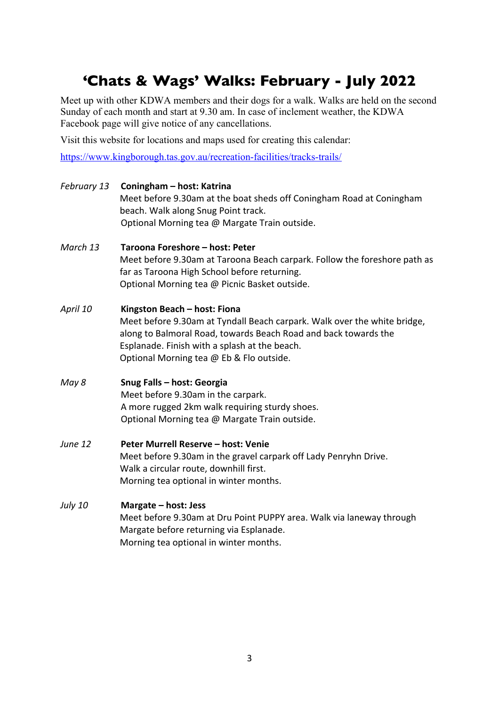## **'Chats & Wags' Walks: February - July 2022**

Meet up with other KDWA members and their dogs for a walk. Walks are held on the second Sunday of each month and start at 9.30 am. In case of inclement weather, the KDWA Facebook page will give notice of any cancellations.

Visit this website for locations and maps used for creating this calendar:

https://www.kingborough.tas.gov.au/recreation-facilities/tracks-trails/

| February 13    | Coningham - host: Katrina<br>Meet before 9.30am at the boat sheds off Coningham Road at Coningham<br>beach. Walk along Snug Point track.<br>Optional Morning tea @ Margate Train outside.                                                                                |
|----------------|--------------------------------------------------------------------------------------------------------------------------------------------------------------------------------------------------------------------------------------------------------------------------|
| March 13       | Taroona Foreshore - host: Peter<br>Meet before 9.30am at Taroona Beach carpark. Follow the foreshore path as<br>far as Taroona High School before returning.<br>Optional Morning tea @ Picnic Basket outside.                                                            |
| April 10       | Kingston Beach - host: Fiona<br>Meet before 9.30am at Tyndall Beach carpark. Walk over the white bridge,<br>along to Balmoral Road, towards Beach Road and back towards the<br>Esplanade. Finish with a splash at the beach.<br>Optional Morning tea @ Eb & Flo outside. |
| May 8          | Snug Falls - host: Georgia<br>Meet before 9.30am in the carpark.<br>A more rugged 2km walk requiring sturdy shoes.<br>Optional Morning tea @ Margate Train outside.                                                                                                      |
| June 12        | Peter Murrell Reserve - host: Venie<br>Meet before 9.30am in the gravel carpark off Lady Penryhn Drive.<br>Walk a circular route, downhill first.<br>Morning tea optional in winter months.                                                                              |
| <b>July 10</b> | Margate - host: Jess<br>Meet before 9.30am at Dru Point PUPPY area. Walk via laneway through<br>Margate before returning via Esplanade.<br>Morning tea optional in winter months.                                                                                        |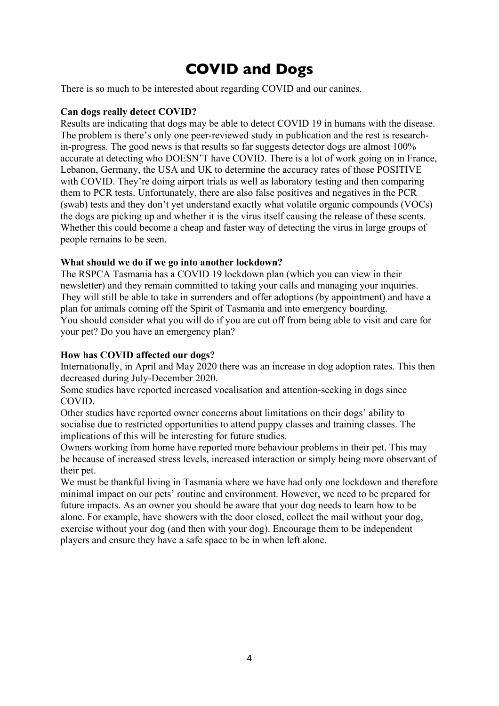## **COVID and Dogs**

There is so much to be interested about regarding COVID and our canines.

#### **Can dogs really detect COVID?**

Results are indicating that dogs may be able to detect COVID 19 in humans with the disease. The problem is there's only one peer-reviewed study in publication and the rest is researchin-progress. The good news is that results so far suggests detector dogs are almost 100% accurate at detecting who DOESN'T have COVID. There is a lot of work going on in France, Lebanon, Germany, the USA and UK to determine the accuracy rates of those POSITIVE with COVID. They're doing airport trials as well as laboratory testing and then comparing them to PCR tests. Unfortunately, there are also false positives and negatives in the PCR (swab) tests and they don't yet understand exactly what volatile organic compounds (VOCs) the dogs are picking up and whether it is the virus itself causing the release of these scents. Whether this could become a cheap and faster way of detecting the virus in large groups of people remains to be seen.

#### **What should we do if we go into another lockdown?**

The RSPCA Tasmania has a COVID 19 lockdown plan (which you can view in their newsletter) and they remain committed to taking your calls and managing your inquiries. They will still be able to take in surrenders and offer adoptions (by appointment) and have a plan for animals coming off the Spirit of Tasmania and into emergency boarding. You should consider what you will do if you are cut off from being able to visit and care for your pet? Do you have an emergency plan?

#### **How has COVID affected our dogs?**

Internationally, in April and May 2020 there was an increase in dog adoption rates. This then decreased during July-December 2020.

Some studies have reported increased vocalisation and attention-seeking in dogs since COVID.

Other studies have reported owner concerns about limitations on their dogs' ability to socialise due to restricted opportunities to attend puppy classes and training classes. The implications of this will be interesting for future studies.

Owners working from home have reported more behaviour problems in their pet. This may be because of increased stress levels, increased interaction or simply being more observant of their pet.

We must be thankful living in Tasmania where we have had only one lockdown and therefore minimal impact on our pets' routine and environment. However, we need to be prepared for future impacts. As an owner you should be aware that your dog needs to learn how to be alone. For example, have showers with the door closed, collect the mail without your dog, exercise without your dog (and then with your dog). Encourage them to be independent players and ensure they have a safe space to be in when left alone.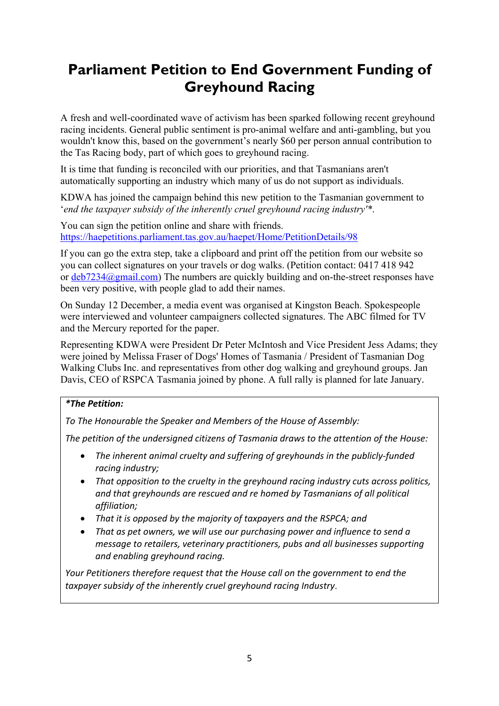# **Parliament Petition to End Government Funding of Greyhound Racing**

A fresh and well-coordinated wave of activism has been sparked following recent greyhound racing incidents. General public sentiment is pro-animal welfare and anti-gambling, but you wouldn't know this, based on the government's nearly \$60 per person annual contribution to the Tas Racing body, part of which goes to greyhound racing.

It is time that funding is reconciled with our priorities, and that Tasmanians aren't automatically supporting an industry which many of us do not support as individuals.

KDWA has joined the campaign behind this new petition to the Tasmanian government to '*end the taxpayer subsidy of the inherently cruel greyhound racing industry'\**.

You can sign the petition online and share with friends. https://haepetitions.parliament.tas.gov.au/haepet/Home/PetitionDetails/98

If you can go the extra step, take a clipboard and print off the petition from our website so you can collect signatures on your travels or dog walks. (Petition contact: 0417 418 942 or deb7234@gmail.com) The numbers are quickly building and on-the-street responses have been very positive, with people glad to add their names.

On Sunday 12 December, a media event was organised at Kingston Beach. Spokespeople were interviewed and volunteer campaigners collected signatures. The ABC filmed for TV and the Mercury reported for the paper.

Representing KDWA were President Dr Peter McIntosh and Vice President Jess Adams; they were joined by Melissa Fraser of Dogs' Homes of Tasmania / President of Tasmanian Dog Walking Clubs Inc. and representatives from other dog walking and greyhound groups. Jan Davis, CEO of RSPCA Tasmania joined by phone. A full rally is planned for late January*.*

#### *\*The Petition:*

*To The Honourable the Speaker and Members of the House of Assembly:*

*The petition of the undersigned citizens of Tasmania draws to the attention of the House:*

- *The inherent animal cruelty and suffering of greyhounds in the publicly-funded racing industry;*
- *That opposition to the cruelty in the greyhound racing industry cuts across politics, and that greyhounds are rescued and re homed by Tasmanians of all political affiliation;*
- *That it is opposed by the majority of taxpayers and the RSPCA; and*
- *That as pet owners, we will use our purchasing power and influence to send a message to retailers, veterinary practitioners, pubs and all businesses supporting and enabling greyhound racing.*

*Your Petitioners therefore request that the House call on the government to end the taxpayer subsidy of the inherently cruel greyhound racing Industry*.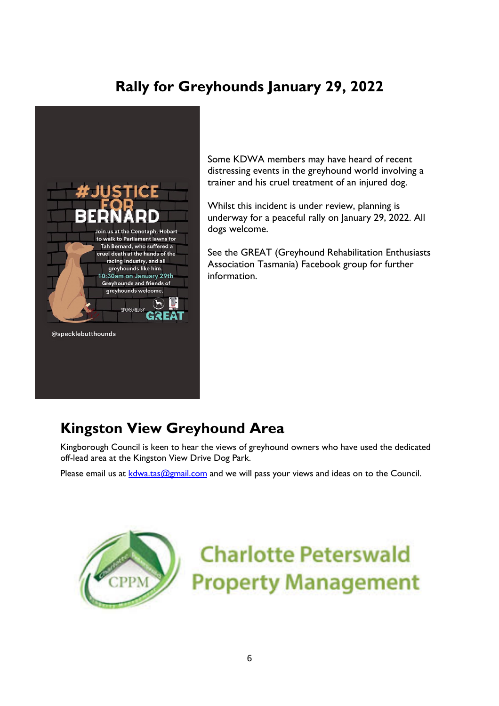## **Rally for Greyhounds January 29, 2022**



Some KDWA members may have heard of recent distressing events in the greyhound world involving a trainer and his cruel treatment of an injured dog.

Whilst this incident is under review, planning is underway for a peaceful rally on January 29, 2022. All dogs welcome.

See the GREAT (Greyhound Rehabilitation Enthusiasts Association Tasmania) Facebook group for further information.

## **Kingston View Greyhound Area**

Kingborough Council is keen to hear the views of greyhound owners who have used the dedicated off-lead area at the Kingston View Drive Dog Park.

Please email us at  $k$ dwa.tas@gmail.com and we will pass your views and ideas on to the Council.